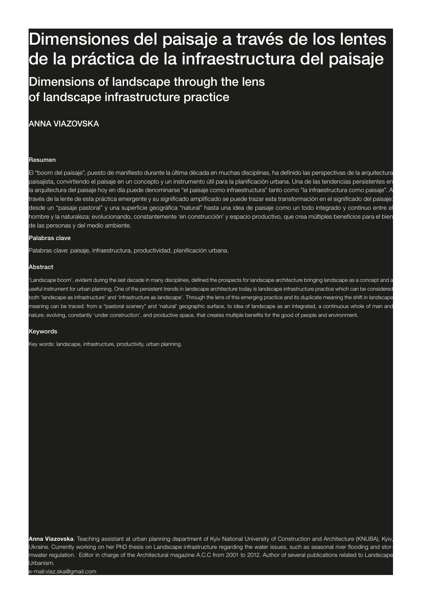# 214 Dimensiones del paisaje a través de los lentes Perspectivas paisajísticas de la práctica de la infraestructura del paisaje

#### Dimaneig Dimensions of landscape through the lens de la práctica de la of landscape infrastructure practice

# ANNA VIAZOVSKA

#### Resumen

El "boom del paisaje", puesto de manifiesto durante la última década en muchas disciplinas, ha definido las perspectivas de la arquitectura paisajista, convirtiendo el paisaje en un concepto y un instrumento útil para la planificación urbana. Una de las tendencias persistentes en la arquitectura del paisaje hoy en día puede denominarse "el paisaje como infraestructura" tanto como "la infraestructura como paisaje". A través de la lente de esta práctica emergente y su significado amplificado se puede trazar esta transformación en el significado del paisaje: desde un "paisaje pastoral" y una superficie geográfica "natural" hasta una idea de paisaje como un todo integrado y continuo entre el hombre y la naturaleza; evolucionando, constantemente 'en construcción' y espacio productivo, que crea múltiples beneficios para el bien de las personas y del medio ambiente.

### Palabras clave

Palabras clave: paisaje, infraestructura, productividad, planificación urbana.

#### Abstract

'Landscape boom', evident during the last decade in many disciplines, defined the prospects for landscape architecture bringing landscape as a concept and a useful instrument for urban planning. One of the persistent trends in landscape architecture today is landscape infrastructure practice which can be considered both 'landscape as infrastructure' and 'infrastructure as landscape'. Through the lens of this emerging practice and its duplicate meaning the shift in landscape meaning can be traced: from a "pastoral scenery" and 'natural' geographic surface, to idea of landscape as an integrated, a continuous whole of man and nature; evolving, constantly 'under construction', and productive space, that creates multiple benefits for the good of people and environment.

#### Keywords

Key words: landscape, infrastructure, productivity, urban planning.

**Anna Viazovska**. Teaching assistant at urban planning department of Kyiv National University of Construction and Architecture (KNUBA), Kyiv, Ukraine. Currently working on her PhD thesis on Landscape infrastructure regarding the water issues, such as seasonal river flooding and stormwater regulation. Editor in charge of the Architectural magazine A.C.C from 2001 to 2012. Author of several publications related to Landscape Urbanism.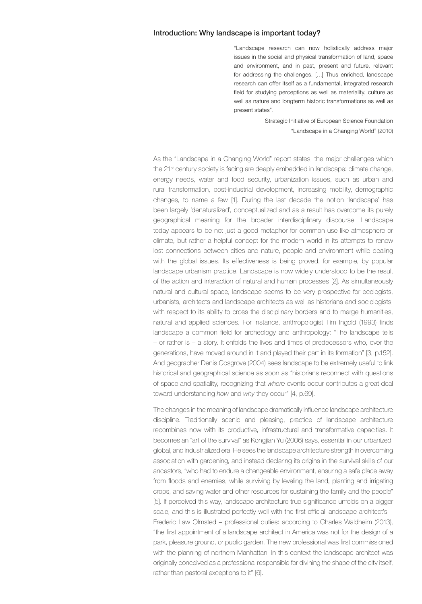## Introduction: Why landscape is important today?

"Landscape research can now holistically address major issues in the social and physical transformation of land, space and environment, and in past, present and future, relevant for addressing the challenges. […] Thus enriched, landscape research can offer itself as a fundamental, integrated research field for studying perceptions as well as materiality, culture as well as nature and longterm historic transformations as well as present states".

> Strategic Initiative of European Science Foundation "Landscape in a Changing World" (2010)

As the "Landscape in a Changing World" report states, the major challenges which the 21<sup>st</sup> century society is facing are deeply embedded in landscape: climate change, energy needs, water and food security, urbanization issues, such as urban and rural transformation, post-industrial development, increasing mobility, demographic changes, to name a few [1]. During the last decade the notion 'landscape' has been largely 'denaturalized', conceptualized and as a result has overcome its purely geographical meaning for the broader interdisciplinary discourse. Landscape today appears to be not just a good metaphor for common use like atmosphere or climate, but rather a helpful concept for the modern world in its attempts to renew lost connections between cities and nature, people and environment while dealing with the global issues. Its effectiveness is being proved, for example, by popular landscape urbanism practice. Landscape is now widely understood to be the result of the action and interaction of natural and human processes [2]. As simultaneously natural and cultural space, landscape seems to be very prospective for ecologists, urbanists, architects and landscape architects as well as historians and sociologists, with respect to its ability to cross the disciplinary borders and to merge humanities, natural and applied sciences. For instance, anthropologist Tim Ingold (1993) finds landscape a common field for archeology and anthropology: "The landscape tells – or rather is – a story. It enfolds the lives and times of predecessors who, over the generations, have moved around in it and played their part in its formation" [3, p.152]. And geographer Denis Cosgrove (2004) sees landscape to be extremely useful to link historical and geographical science as soon as "historians reconnect with questions of space and spatiality, recognizing that *where* events occur contributes a great deal toward understanding *how* and *why* they occur" [4, p.69].

The changes in the meaning of landscape dramatically influence landscape architecture discipline. Traditionally scenic and pleasing, practice of landscape architecture recombines now with its productive, infrastructural and transformative capacities. It becomes an "art of the survival" as Kongjian Yu (2006) says, essential in our urbanized, global, and industrialized era. He sees the landscape architecture strength in overcoming association with gardening, and instead declaring its origins in the survival skills of our ancestors, "who had to endure a changeable environment, ensuring a safe place away from floods and enemies, while surviving by leveling the land, planting and irrigating crops, and saving water and other resources for sustaining the family and the people" [5]. If perceived this way, landscape architecture true significance unfolds on a bigger scale, and this is illustrated perfectly well with the first official landscape architect's -Frederic Law Olmsted – professional duties: according to Charles Waldheim (2013), "the first appointment of a landscape architect in America was not for the design of a park, pleasure ground, or public garden. The new professional was first commissioned with the planning of northern Manhattan. In this context the landscape architect was originally conceived as a professional responsible for divining the shape of the city itself, rather than pastoral exceptions to it" [6].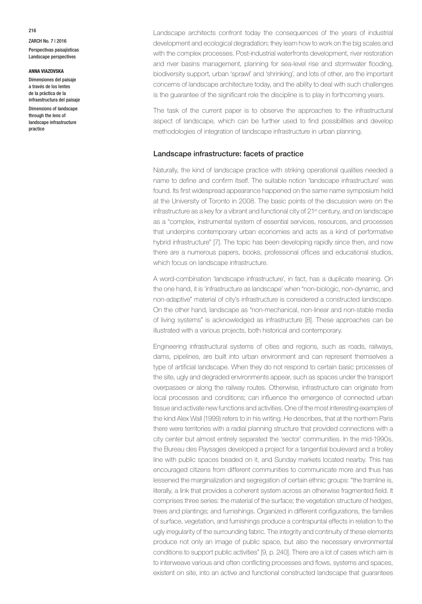ZARCH No. 7 | 2016 Perspectivas paisajísticas Landscape perspectives

### **ANNA VIAZOVSKA**

Dimensiones del paisaje a través de los lentes de la práctica de la infraestructura del paisaje Dimensions of landscape through the lens of landscape infrastructure practice

Landscape architects confront today the consequences of the years of industrial development and ecological degradation; they learn how to work on the big scales and with the complex processes. Post-industrial waterfronts development, river restoration and river basins management, planning for sea-level rise and stormwater flooding, biodiversity support, urban 'sprawl' and 'shrinking', and lots of other, are the important concerns of landscape architecture today, and the ability to deal with such challenges is the guarantee of the significant role the discipline is to play in forthcoming years.

The task of the current paper is to observe the approaches to the infrastructural aspect of landscape, which can be further used to find possibilities and develop methodologies of integration of landscape infrastructure in urban planning.

## Landscape infrastructure: facets of practice

Naturally, the kind of landscape practice with striking operational qualities needed a name to define and confirm itself. The suitable notion 'landscape infrastructure' was found. Its first widespread appearance happened on the same name symposium held at the University of Toronto in 2008. The basic points of the discussion were on the infrastructure as a key for a vibrant and functional city of 21st century, and on landscape as a "complex, instrumental system of essential services, resources, and processes that underpins contemporary urban economies and acts as a kind of performative hybrid infrastructure" [7]. The topic has been developing rapidly since then, and now there are a numerous papers, books, professional offices and educational studios, which focus on landscape infrastructure.

A word-combination 'landscape infrastructure', in fact, has a duplicate meaning. On the one hand, it is 'infrastructure as landscape' when "non-biologic, non-dynamic, and non-adaptive" material of city's infrastructure is considered a constructed landscape. On the other hand, landscape as "non-mechanical, non-linear and non-stable media of living systems" is acknowledged as infrastructure [8]. These approaches can be illustrated with a various projects, both historical and contemporary.

Engineering infrastructural systems of cities and regions, such as roads, railways, dams, pipelines, are built into urban environment and can represent themselves a type of artificial landscape. When they do not respond to certain basic processes of the site, ugly and degraded environments appear, such as spaces under the transport overpasses or along the railway routes. Otherwise, infrastructure can originate from local processes and conditions; can influence the emergence of connected urban tissue and activate new functions and activities. One of the most interesting examples of the kind Alex Wall (1999) refers to in his writing. He describes, that at the northern Paris there were territories with a radial planning structure that provided connections with a city center but almost entirely separated the 'sector' communities. In the mid-1990s, the Bureau des Paysages developed a project for a tangential boulevard and a trolley line with public spaces beaded on it, and Sunday markets located nearby. This has encouraged citizens from different communities to communicate more and thus has lessened the marginalization and segregation of certain ethnic groups: "the tramline is, literally, a link that provides a coherent system across an otherwise fragmented field. It comprises three series: the material of the surface; the vegetation structure of hedges, trees and plantings; and furnishings. Organized in different configurations, the families of surface, vegetation, and furnishings produce a contrapuntal effects in relation to the ugly irregularity of the surrounding fabric. The integrity and continuity of these elements produce not only an image of public space, but also the necessary environmental conditions to support public activities" [9, p. 240]. There are a lot of cases which aim is to interweave various and often conflicting processes and flows, systems and spaces, existent on site, into an active and functional constructed landscape that guarantees

216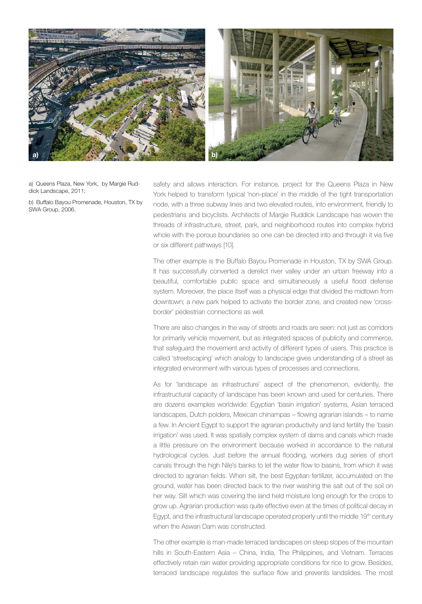

a) Queens Plaza, New York, by Margie Ruddick Landscape, 2011;

b) Buffalo Bayou Promenade, Houston, TX by SWA Group, 2006.

safety and allows interaction. For instance, project for the Queens Plaza in New York helped to transform typical 'non-place' in the middle of the tight transportation node, with a three subway lines and two elevated routes, into environment, friendly to pedestrians and bicyclists. Architects of Margie Ruddick Landscape has woven the threads of infrastructure, street, park, and neighborhood routes into complex hybrid whole with the porous boundaries so one can be directed into and through it via five or six different pathways [10].

The other example is the Buffalo Bayou Promenade in Houston, TX by SWA Group. It has successfully converted a derelict river valley under an urban freeway into a beautiful, comfortable public space and simultaneously a useful flood defense system. Moreover, the place itself was a physical edge that divided the midtown from downtown; a new park helped to activate the border zone, and created new 'crossborder' pedestrian connections as well.

There are also changes in the way of streets and roads are seen: not just as corridors for primarily vehicle movement, but as integrated spaces of publicity and commerce, that safeguard the movement and activity of different types of users. This practice is called 'streetscaping' which analogy to landscape gives understanding of a street as integrated environment with various types of processes and connections.

As for 'landscape as infrastructure' aspect of the phenomenon, evidently, the infrastructural capacity of landscape has been known and used for centuries. There are dozens examples worldwide: Egyptian 'basin irrigation' systems, Asian terraced landscapes, Dutch polders, Mexican chinampas – flowing agrarian islands – to name a few. In Ancient Egypt to support the agrarian productivity and land fertility the 'basin irrigation' was used. It was spatially complex system of dams and canals which made a little pressure on the environment because worked in accordance to the natural hydrological cycles. Just before the annual flooding, workers dug series of short canals through the high Nile's banks to let the water flow to basins, from which it was directed to agrarian fields. When silt, the best Egyptian fertilizer, accumulated on the ground, water has been directed back to the river washing the salt out of the soil on her way. Silt which was covering the land held moisture long enough for the crops to grow up. Agrarian production was quite effective even at the times of political decay in Egypt, and the infrastructural landscape operated properly until the middle 19th century when the Aswan Dam was constructed.

The other example is man-made terraced landscapes on steep slopes of the mountain hills in South-Eastern Asia – China, India, The Philippines, and Vietnam. Terraces effectively retain rain water providing appropriate conditions for rice to grow. Besides, terraced landscape regulates the surface flow and prevents landslides. The most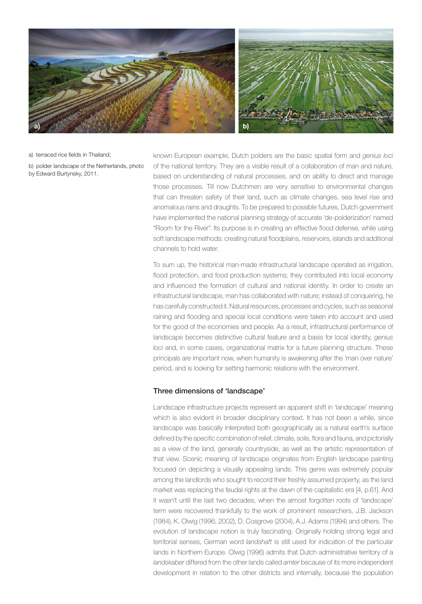

a) terraced rice fields in Thailand;

b) polder landscape of the Netherlands, photo by Edward Burtynsky, 2011.

known European example, Dutch polders are the basic spatial form and *genius loci*  of the national territory. They are a visible result of a collaboration of man and nature, based on understanding of natural processes, and on ability to direct and manage those processes. Till now Dutchmen are very sensitive to environmental changes that can threaten safety of their land, such as climate changes, sea level rise and anomalous rains and draughts. To be prepared to possible futures, Dutch government have implemented the national planning strategy of accurate 'de-polderization' named "Room for the River". Its purpose is in creating an effective flood defense, while using soft landscape methods: creating natural floodplains, reservoirs, islands and additional channels to hold water.

To sum up, the historical man-made infrastructural landscape operated as irrigation, flood protection, and food production systems; they contributed into local economy and influenced the formation of cultural and national identity. In order to create an infrastructural landscape, man has collaborated with nature; instead of conquering, he has carefully constructed it. Natural resources, processes and cycles, such as seasonal raining and flooding and special local conditions were taken into account and used for the good of the economies and people. As a result, infrastructural performance of landscape becomes distinctive cultural feature and a basis for local identity, *genius loci* and, in some cases, organizational matrix for a future planning structure. These principals are important now, when humanity is awakening after the 'man over nature' period, and is looking for setting harmonic relations with the environment.

# Three dimensions of 'landscape'

Landscape infrastructure projects represent an apparent shift in 'landscape' meaning which is also evident in broader disciplinary context. It has not been a while, since landscape was basically interpreted both geographically as a natural earth's surface defined by the specific combination of relief, climate, soils, flora and fauna, and pictorially as a view of the land, generally countryside, as well as the artistic representation of that view. Scenic meaning of landscape originates from English landscape painting focused on depicting a visually appealing lands. This genre was extremely popular among the landlords who sought to record their freshly assumed property, as the land market was replacing the feudal rights at the dawn of the capitalistic era [4, p.61]. And it wasn't until the last two decades, when the almost forgotten roots of 'landscape' term were recovered thankfully to the work of prominent researchers, J.B. Jackson (1984), K. Olwig (1996, 2002), D. Cosgrove (2004), A.J. Adams (1994) and others. The evolution of landscape notion is truly fascinating. Originally holding strong legal and territorial senses, German word *landshaft* is still used for indication of the particular lands in Northern Europe. Olwig (1996) admits that Dutch administrative territory of a *landskaber* differed from the other lands called *amter* because of its more independent development in relation to the other districts and internally, because the population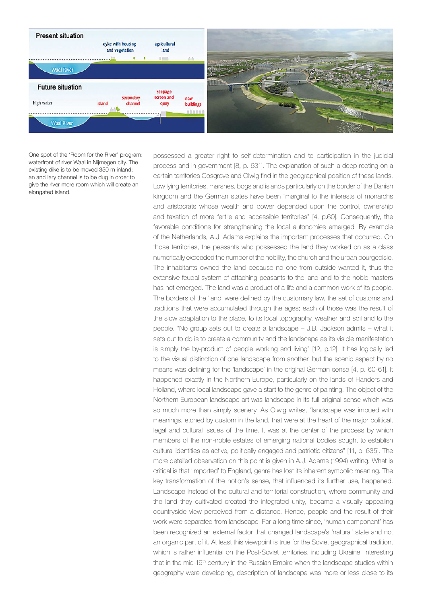

One spot of the 'Room for the River' program: waterfront of river Waal in Nijmegen city. The existing dike is to be moved 350 m inland; an ancillary channel is to be dug in order to give the river more room which will create an elongated island.

possessed a greater right to self-determination and to participation in the judicial process and in government [8, p. 631]. The explanation of such a deep rooting on a certain territories Cosgrove and Olwig find in the geographical position of these lands. Low lying territories, marshes, bogs and islands particularly on the border of the Danish kingdom and the German states have been "marginal to the interests of monarchs and aristocrats whose wealth and power depended upon the control, ownership and taxation of more fertile and accessible territories" [4, p.60]. Consequently, the favorable conditions for strengthening the local autonomies emerged. By example of the Netherlands, A.J. Adams explains the important processes that occurred. On those territories, the peasants who possessed the land they worked on as a class numerically exceeded the number of the nobility, the church and the urban bourgeoisie. The inhabitants owned the land because no one from outside wanted it, thus the extensive feudal system of attaching peasants to the land and to the noble masters has not emerged. The land was a product of a life and a common work of its people. The borders of the 'land' were defined by the customary law, the set of customs and traditions that were accumulated through the ages; each of those was the result of the slow adaptation to the place, to its local topography, weather and soil and to the people. "No group sets out to create a landscape – J.B. Jackson admits – what it sets out to do is to create a community and the landscape as its visible manifestation is simply the by-product of people working and living" [12, p.12]. It has logically led to the visual distinction of one landscape from another, but the scenic aspect by no means was defining for the 'landscape' in the original German sense [4, p. 60-61]. It happened exactly in the Northern Europe, particularly on the lands of Flanders and Holland, where local landscape gave a start to the genre of painting. The object of the Northern European landscape art was landscape in its full original sense which was so much more than simply scenery. As Olwig writes, "landscape was imbued with meanings, etched by custom in the land, that were at the heart of the major political, legal and cultural issues of the time. It was at the center of the process by which members of the non-noble estates of emerging national bodies sought to establish cultural identities as active, politically engaged and patriotic citizens" [11, p. 635]. The more detailed observation on this point is given in A.J. Adams (1994) writing. What is critical is that 'imported' to England, genre has lost its inherent symbolic meaning. The key transformation of the notion's sense, that influenced its further use, happened. Landscape instead of the cultural and territorial construction, where community and the land they cultivated created the integrated unity, became a visually appealing countryside view perceived from a distance. Hence, people and the result of their work were separated from landscape. For a long time since, 'human component' has been recognized an external factor that changed landscape's 'natural' state and not an organic part of it. At least this viewpoint is true for the Soviet geographical tradition, which is rather influential on the Post-Soviet territories, including Ukraine. Interesting that in the mid-19<sup>th</sup> century in the Russian Empire when the landscape studies within geography were developing, description of landscape was more or less close to its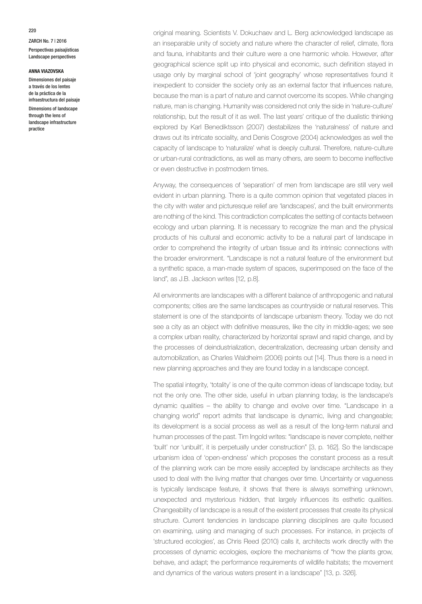ZARCH No. 7 | 2016 Perspectivas paisajísticas Landscape perspectives

### **ANNA VIAZOVSKA**

Dimensiones del paisaje a través de los lentes de la práctica de la infraestructura del paisaje Dimensions of landscape through the lens of landscape infrastructure practice

original meaning. Scientists V. Dokuchaev and L. Berg acknowledged landscape as an inseparable unity of society and nature where the character of relief, climate, flora and fauna, inhabitants and their culture were a one harmonic whole. However, after geographical science split up into physical and economic, such definition stayed in usage only by marginal school of 'joint geography' whose representatives found it inexpedient to consider the society only as an external factor that influences nature, because the man is a part of nature and cannot overcome its scopes. While changing nature, man is changing. Humanity was considered not only the side in 'nature-culture' relationship, but the result of it as well. The last years' critique of the dualistic thinking explored by Karl Benediktsson (2007) destabilizes the 'naturalness' of nature and draws out its intricate sociality, and Denis Cosgrove (2004) acknowledges as well the capacity of landscape to 'naturalize' what is deeply cultural. Therefore, nature-culture or urban-rural contradictions, as well as many others, are seem to become ineffective or even destructive in postmodern times.

Anyway, the consequences of 'separation' of men from landscape are still very well evident in urban planning. There is a quite common opinion that vegetated places in the city with water and picturesque relief are 'landscapes', and the built environments are nothing of the kind. This contradiction complicates the setting of contacts between ecology and urban planning. It is necessary to recognize the man and the physical products of his cultural and economic activity to be a natural part of landscape in order to comprehend the integrity of urban tissue and its intrinsic connections with the broader environment. "Landscape is not a natural feature of the environment but a synthetic space, a man-made system of spaces, superimposed on the face of the land", as J.B. Jackson writes [12, p.8].

All environments are landscapes with a different balance of anthropogenic and natural components; cities are the same landscapes as countryside or natural reserves. This statement is one of the standpoints of landscape urbanism theory. Today we do not see a city as an object with definitive measures, like the city in middle-ages; we see a complex urban reality, characterized by horizontal sprawl and rapid change, and by the processes of deindustrialization, decentralization, decreasing urban density and automobilization, as Charles Waldheim (2006) points out [14]. Thus there is a need in new planning approaches and they are found today in a landscape concept.

The spatial integrity, 'totality' is one of the quite common ideas of landscape today, but not the only one. The other side, useful in urban planning today, is the landscape's dynamic qualities – the ability to change and evolve over time. "Landscape in a changing world" report admits that landscape is dynamic, living and changeable; its development is a social process as well as a result of the long-term natural and human processes of the past. Tim Ingold writes: "landscape is never complete, neither 'built' nor 'unbuilt', it is perpetually under construction" [3, p. 162]. So the landscape urbanism idea of 'open-endness' which proposes the constant process as a result of the planning work can be more easily accepted by landscape architects as they used to deal with the living matter that changes over time. Uncertainty or vagueness is typically landscape feature, it shows that there is always something unknown, unexpected and mysterious hidden, that largely influences its esthetic qualities. Changeability of landscape is a result of the existent processes that create its physical structure. Current tendencies in landscape planning disciplines are quite focused on examining, using and managing of such processes. For instance, in projects of 'structured ecologies', as Chris Reed (2010) calls it, architects work directly with the processes of dynamic ecologies, explore the mechanisms of "how the plants grow, behave, and adapt; the performance requirements of wildlife habitats; the movement and dynamics of the various waters present in a landscape" [13, p. 326].

220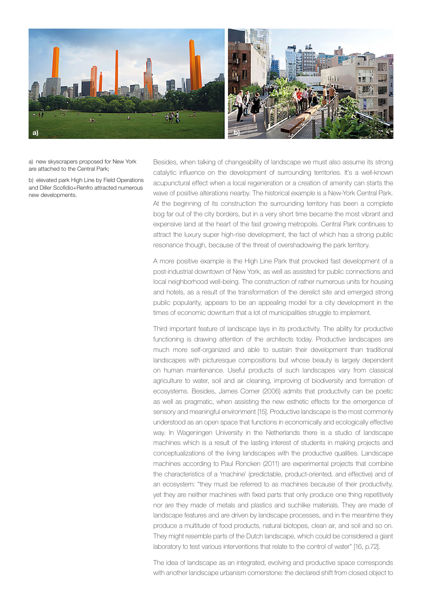

a) new skyscrapers proposed for New York are attached to the Central Park;

b) elevated park High Line by Field Operations and Diller Scofidio+Renfro attracted numerous new developments.

Besides, when talking of changeability of landscape we must also assume its strong catalytic influence on the development of surrounding territories. It's a well-known acupunctural effect when a local regeneration or a creation of amenity can starts the wave of positive alterations nearby. The historical example is a New-York Central Park. At the beginning of its construction the surrounding territory has been a complete bog far out of the city borders, but in a very short time became the most vibrant and expensive land at the heart of the fast growing metropolis. Central Park continues to attract the luxury super high-rise development, the fact of which has a strong public resonance though, because of the threat of overshadowing the park territory.

A more positive example is the High Line Park that provoked fast development of a post-industrial downtown of New York, as well as assisted for public connections and local neighborhood well-being. The construction of rather numerous units for housing and hotels, as a result of the transformation of the derelict site and emerged strong public popularity, appears to be an appealing model for a city development in the times of economic downturn that a lot of municipalities struggle to implement.

Third important feature of landscape lays in its productivity. The ability for productive functioning is drawing attention of the architects today. Productive landscapes are much more self-organized and able to sustain their development than traditional landscapes with picturesque compositions but whose beauty is largely dependent on human maintenance. Useful products of such landscapes vary from classical agriculture to water, soil and air cleaning, improving of biodiversity and formation of ecosystems. Besides, James Corner (2006) admits that productivity can be poetic as well as pragmatic, when assisting the new esthetic effects for the emergence of sensory and meaningful environment [15]. Productive landscape is the most commonly understood as an open space that functions in economically and ecologically effective way. In Wageningen University in the Netherlands there is a studio of landscape machines which is a result of the lasting interest of students in making projects and conceptualizations of the living landscapes with the productive qualities. Landscape machines according to Paul Roncken (2011) are experimental projects that combine the characteristics of a 'machine' (predictable, product-oriented, and effective) and of an ecosystem: "they must be referred to as machines because of their productivity, yet they are neither machines with fixed parts that only produce one thing repetitively nor are they made of metals and plastics and suchlike materials. They are made of landscape features and are driven by landscape processes, and in the meantime they produce a multitude of food products, natural biotopes, clean air, and soil and so on. They might resemble parts of the Dutch landscape, which could be considered a giant laboratory to test various interventions that relate to the control of water" [16, p.72].

The idea of landscape as an integrated, evolving and productive space corresponds with another landscape urbanism cornerstone: the declared shift from closed object to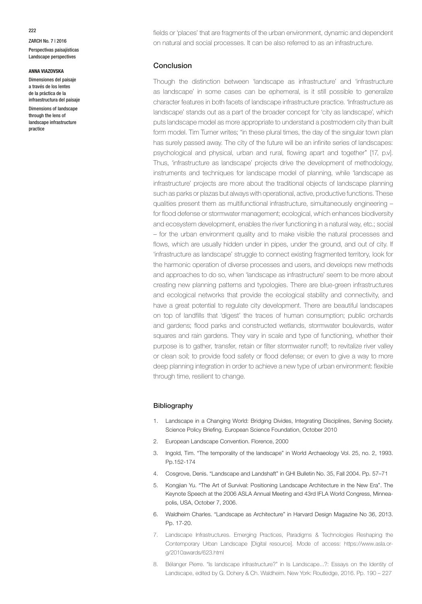ZARCH No. 7 | 2016 Perspectivas paisajísticas Landscape perspectives

#### **ANNA VIAZOVSKA**

Dimensiones del paisaje a través de los lentes de la práctica de la infraestructura del paisaje Dimensions of landscape through the lens of landscape infrastructure practice

fields or 'places' that are fragments of the urban environment, dynamic and dependent on natural and social processes. It can be also referred to as an infrastructure.

# Conclusion

Though the distinction between 'landscape as infrastructure' and 'infrastructure as landscape' in some cases can be ephemeral, is it still possible to generalize character features in both facets of landscape infrastructure practice. 'Infrastructure as landscape' stands out as a part of the broader concept for 'city as landscape', which puts landscape model as more appropriate to understand a postmodern city than built form model. Tim Turner writes; "in these plural times, the day of the singular town plan has surely passed away. The city of the future will be an infinite series of landscapes: psychological and physical, urban and rural, flowing apart and together" [17, p.v]. Thus, 'infrastructure as landscape' projects drive the development of methodology, instruments and techniques for landscape model of planning, while 'landscape as infrastructure' projects are more about the traditional objects of landscape planning such as parks or plazas but always with operational, active, productive functions. These qualities present them as multifunctional infrastructure, simultaneously engineering – for flood defense or stormwater management; ecological, which enhances biodiversity and ecosystem development, enables the river functioning in a natural way, etc.; social – for the urban environment quality and to make visible the natural processes and flows, which are usually hidden under in pipes, under the ground, and out of city. If 'infrastructure as landscape' struggle to connect existing fragmented territory, look for the harmonic operation of diverse processes and users, and develops new methods and approaches to do so, when 'landscape as infrastructure' seem to be more about creating new planning patterns and typologies. There are blue-green infrastructures and ecological networks that provide the ecological stability and connectivity, and have a great potential to regulate city development. There are beautiful landscapes on top of landfills that 'digest' the traces of human consumption; public orchards and gardens; flood parks and constructed wetlands, stormwater boulevards, water squares and rain gardens. They vary in scale and type of functioning, whether their purpose is to gather, transfer, retain or filter stormwater runoff; to revitalize river valley or clean soil; to provide food safety or flood defense; or even to give a way to more deep planning integration in order to achieve a new type of urban environment: flexible through time, resilient to change.

### **Bibliography**

- 1. Landscape in a Changing World: Bridging Divides, Integrating Disciplines, Serving Society. Science Policy Briefing. European Science Foundation, October 2010
- 2. European Landscape Convention. Florence, 2000
- 3. Ingold, Tim. "The temporality of the landscape" in World Archaeology Vol. 25, no. 2, 1993. Pp.152-174
- 4. Cosgrove, Denis. "Landscape and Landshaft" in GHI Bulletin No. 35, Fall 2004. Pp. 57–71
- 5. Kongjian Yu. "The Art of Survival: Positioning Landscape Architecture in the New Era". The Keynote Speech at the 2006 ASLA Annual Meeting and 43rd IFLA World Congress, Minneapolis, USA, October 7, 2006.
- 6. Waldheim Charles. "Landscape as Architecture" in Harvard Design Magazine No 36, 2013. Pp. 17-20.
- 7. Landscape Infrastructures. Emerging Practices, Paradigms & Technologies Reshaping the Contemporary Urban Landscape [Digital resource]. Mode of access: https://www.asla.org/2010awards/623.html
- 8. Bélanger Pierre. "Is landscape infrastructure?" in Is Landscape...?: Essays on the Identity of Landscape, edited by G. Dohery & Ch. Waldheim. New York: Routledge, 2016. Pp. 190 – 227

222